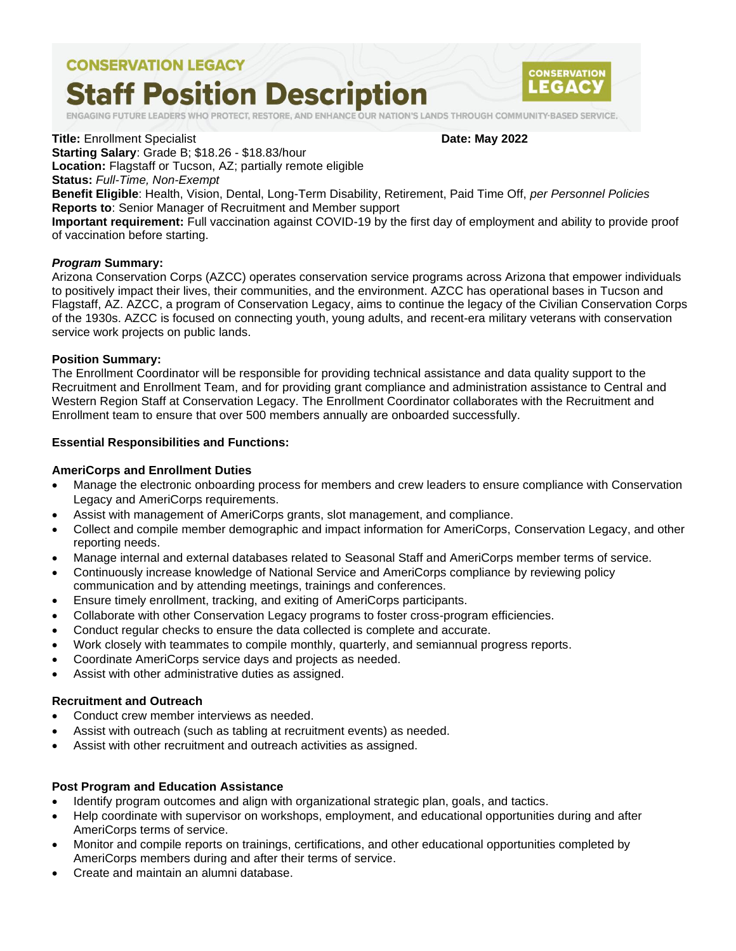**CONSERVATION LEGACY** 

# **Staff Position Description**



ENGAGING FUTURE LEADERS WHO PROTECT, RESTORE, AND ENHANCE OUR NATION'S LANDS THROUGH COMMUNITY-BASED SERVICE.

**Title:** Enrollment Specialist **Date: May 2022**

**Starting Salary**: Grade B; \$18.26 - \$18.83/hour **Location:** Flagstaff or Tucson, AZ; partially remote eligible

**Status:** *Full-Time, Non-Exempt*

**Benefit Eligible**: Health, Vision, Dental, Long-Term Disability, Retirement, Paid Time Off, *per Personnel Policies* **Reports to**: Senior Manager of Recruitment and Member support

**Important requirement:** Full vaccination against COVID-19 by the first day of employment and ability to provide proof of vaccination before starting.

# *Program* **Summary:**

Arizona Conservation Corps (AZCC) operates conservation service programs across Arizona that empower individuals to positively impact their lives, their communities, and the environment. AZCC has operational bases in Tucson and Flagstaff, AZ. AZCC, a program of Conservation Legacy, aims to continue the legacy of the Civilian Conservation Corps of the 1930s. AZCC is focused on connecting youth, young adults, and recent-era military veterans with conservation service work projects on public lands.

# **Position Summary:**

The Enrollment Coordinator will be responsible for providing technical assistance and data quality support to the Recruitment and Enrollment Team, and for providing grant compliance and administration assistance to Central and Western Region Staff at Conservation Legacy. The Enrollment Coordinator collaborates with the Recruitment and Enrollment team to ensure that over 500 members annually are onboarded successfully.

# **Essential Responsibilities and Functions:**

# **AmeriCorps and Enrollment Duties**

- Manage the electronic onboarding process for members and crew leaders to ensure compliance with Conservation Legacy and AmeriCorps requirements.
- Assist with management of AmeriCorps grants, slot management, and compliance.
- Collect and compile member demographic and impact information for AmeriCorps, Conservation Legacy, and other reporting needs.
- Manage internal and external databases related to Seasonal Staff and AmeriCorps member terms of service.
- Continuously increase knowledge of National Service and AmeriCorps compliance by reviewing policy communication and by attending meetings, trainings and conferences.
- Ensure timely enrollment, tracking, and exiting of AmeriCorps participants.
- Collaborate with other Conservation Legacy programs to foster cross-program efficiencies.
- Conduct regular checks to ensure the data collected is complete and accurate.
- Work closely with teammates to compile monthly, quarterly, and semiannual progress reports.
- Coordinate AmeriCorps service days and projects as needed.
- Assist with other administrative duties as assigned.

# **Recruitment and Outreach**

- Conduct crew member interviews as needed.
- Assist with outreach (such as tabling at recruitment events) as needed.
- Assist with other recruitment and outreach activities as assigned.

# **Post Program and Education Assistance**

- Identify program outcomes and align with organizational strategic plan, goals, and tactics.
- Help coordinate with supervisor on workshops, employment, and educational opportunities during and after AmeriCorps terms of service.
- Monitor and compile reports on trainings, certifications, and other educational opportunities completed by AmeriCorps members during and after their terms of service.
- Create and maintain an alumni database.